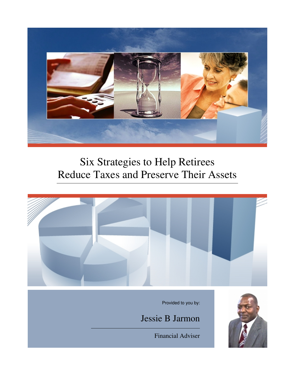

# Six Strategies to Help Retirees Reduce Taxes and Preserve Their Assets



Financial Adviser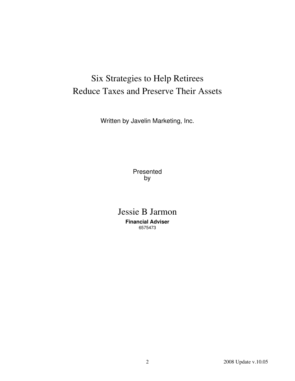## Six Strategies to Help Retirees Reduce Taxes and Preserve Their Assets

Written by Javelin Marketing, Inc.

Presented by

Jessie B Jarmon **Financial Adviser** 6575473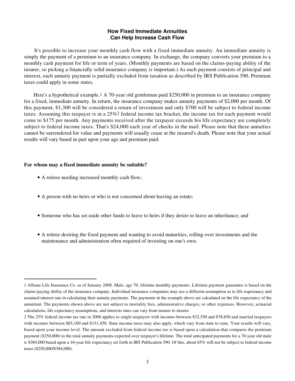## **How Fixed Immediate Annuities Can Help Increase Cash Flow**

 It's possible to increase your monthly cash flow with a fixed immediate annuity. An immediate annuity is simply the payment of a premium to an insurance company. In exchange, the company converts your premium to a monthly cash payment for life or term of years. (Monthly payments are based on the claims-paying ability of the insurer, so picking a financially solid insurance company is important.) As each payment consists of principal and interest, each annuity payment is partially excluded from taxation as described by IRS Publication 590. Premium taxes could apply in some states.

 Here's a hypothetical example.1 A 70-year old gentleman paid \$250,000 in premium to an insurance company for a fixed, immediate annuity. In return, the insurance company makes annuity payments of \$2,000 per month. Of this payment, \$1,300 will be considered a return of investment and only \$700 will be subject to federal income taxes. Assuming this taxpayer is in a 25%2 federal income tax bracket, the income tax for each payment would come to \$175 per month. Any payments received after the taxpayer exceeds his life expectancy are completely subject to federal income taxes. That's \$24,000 each year of checks in the mail. Please note that these annuities cannot be surrendered for value and payments will usually cease at the insured's death. Please note that your actual results will vary based in part upon your age and premium paid.

#### **For whom may a fixed immediate annuity be suitable?**

- A retiree needing increased monthly cash flow;
- A person with no heirs or who is not concerned about leaving an estate;
- Someone who has set aside other funds to leave to heirs if they desire to leave an inheritance; and
- A retiree desiring the fixed payment and wanting to avoid maturities, rolling over investments and the maintenance and administration often required of investing on one's own.

<sup>1</sup> Allianz Life Insurance Co. as of January 2008. Male, age 70, lifetime monthly payments. Lifetime payment guarantee is based on the claims-paying ability of the insurance company. Individual insurance companies may use a different assumption as to life expectancy and assumed interest rate in calculating their annuity payments. The payments in the example above are calculated on the life expectancy of the annuitant. The payments shown above are not subject to mortality fees, administrative charges, or other expenses. However, actuarial calculations, life expectancy assumptions, and interests rates can vary from insurer to insurer.

<sup>2</sup> The 25% federal income tax rate in 2008 applies to single taxpayers with incomes between \$32,550 and \$78,850 and married taxpayers with incomes between \$65,100 and \$131,450. State income taxes may also apply, which vary from state to state. Your results will vary, based upon your income level. The amount excluded from federal income tax is based upon a calculation that compares the premium payment (\$250,000) to the total annuity payments expected over taxpayer's lifetime. The total anticipated payments for a 70-year old male is \$384,000 based upon a 16-year life expectancy set forth in IRS Publication 590. Of this, about 65% will not be subject to federal income taxes (\$250,000/\$384,000).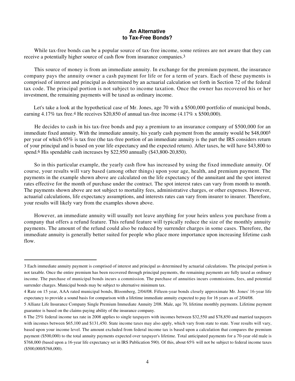## **An Alternative to Tax-Free Bonds?**

 While tax-free bonds can be a popular source of tax-free income, some retirees are not aware that they can receive a potentially higher source of cash flow from insurance companies.3

 This source of money is from an immediate annuity. In exchange for the premium payment, the insurance company pays the annuity owner a cash payment for life or for a term of years. Each of these payments is comprised of interest and principal as determined by an actuarial calculation set forth in Section 72 of the federal tax code. The principal portion is not subject to income taxation. Once the owner has recovered his or her investment, the remaining payments will be taxed as ordinary income.

Let's take a look at the hypothetical case of Mr. Jones, age 70 with a \$500,000 portfolio of municipal bonds, earning  $4.17\%$  tax free.<sup>4</sup> He receives \$20,850 of annual tax-free income ( $4.17\%$  x \$500,000).

 He decides to cash in his tax-free bonds and pay a premium to an insurance company of \$500,000 for an immediate fixed annuity. With the immediate annuity, his yearly cash payment from the annuity would be \$48,0005 per year of which 65% is tax free (the tax-free portion of an immediate annuity is the part the IRS considers return of your principal and is based on your life expectancy and the expected return). After taxes, he will have \$43,800 to spend.<sup>6</sup> His spendable cash increases by \$22,950 annually (\$43,800-20,850).

 So in this particular example, the yearly cash flow has increased by using the fixed immediate annuity. Of course, your results will vary based (among other things) upon your age, health, and premium payment. The payments in the example shown above are calculated on the life expectancy of the annuitant and the spot interest rates effective for the month of purchase under the contract. The spot interest rates can vary from month to month. The payments shown above are not subject to mortality fees, administrative charges, or other expenses. However, actuarial calculations, life expectancy assumptions, and interests rates can vary from insurer to insurer. Therefore, your results will likely vary from the examples shown above.

 However, an immediate annuity will usually not leave anything for your heirs unless you purchase from a company that offers a refund feature. This refund feature will typically reduce the size of the monthly annuity payments. The amount of the refund could also be reduced by surrender charges in some cases. Therefore, the immediate annuity is generally better suited for people who place more importance upon increasing lifetime cash flow.

<sup>3</sup> Each immediate annuity payment is comprised of interest and principal as determined by actuarial calculations. The principal portion is not taxable. Once the entire premium has been recovered through principal payments, the remaining payments are fully taxed as ordinary income. The purchase of municipal bonds incurs a commission. The purchase of annuities incurs commissions, fees, and potential surrender charges. Municipal bonds may be subject to alternative minimum tax.

<sup>4</sup> Rate on 15 year, AAA rated municipal bonds, Bloomberg, 2/04/08. Fifteen-year bonds closely approximate Mr. Jones' 16-year life expectancy to provide a sound basis for comparison with a lifetime immediate annuity expected to pay for 16 years as of 2/04/08.

<sup>5</sup> Allianz Life Insurance Company Single Premium Immediate Annuity 2/08. Male, age 70, lifetime monthly payments. Lifetime payment guarantee is based on the claims-paying ability of the insurance company.

<sup>6</sup> The 25% federal income tax rate in 2008 applies to single taxpayers with incomes between \$32,550 and \$78,850 and married taxpayers with incomes between \$65,100 and \$131,450. State income taxes may also apply, which vary from state to state. Your results will vary, based upon your income level. The amount excluded from federal income tax is based upon a calculation that compares the premium payment (\$500,000) to the total annuity payments expected over taxpayer's lifetime. Total anticipated payments for a 70-year old male is \$768,000 (based upon a 16-year life expectancy set in IRS Publication 590). Of this, about 65% will not be subject to federal income taxes (\$500,000/\$768,000).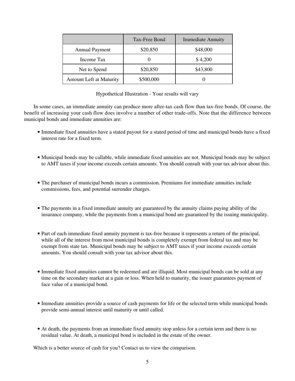|                                | Tax-Free Bond | <b>Immediate Annuity</b> |
|--------------------------------|---------------|--------------------------|
| <b>Annual Payment</b>          | \$20,850      | \$48,000                 |
| Income Tax                     |               | \$4,200                  |
| Net to Spend                   | \$20,850      | \$43,800                 |
| <b>Amount Left at Maturity</b> | \$500,000     |                          |

Hypothetical Illustration - Your results will vary

 In some cases, an immediate annuity can produce more after-tax cash flow than tax-free bonds. Of course, the benefit of increasing your cash flow does involve a number of other trade-offs. Note that the difference between municipal bonds and immediate annuities are:

- Immediate fixed annuities have a stated payout for a stated period of time and municipal bonds have a fixed interest rate for a fixed term.
- Municipal bonds may be callable, while immediate fixed annuities are not. Municipal bonds may be subject to AMT taxes if your income exceeds certain amounts. You should consult with your tax advisor about this.
- The purchaser of municipal bonds incurs a commission. Premiums for immediate annuities include commissions, fees, and potential surrender charges.
- The payments in a fixed immediate annuity are guaranteed by the annuity claims paying ability of the insurance company, while the payments from a municipal bond are guaranteed by the issuing municipality.
- Part of each immediate fixed annuity payment is tax-free because it represents a return of the principal, while all of the interest from most municipal bonds is completely exempt from federal tax and may be exempt from state tax. Municipal bonds may be subject to AMT taxes if your income exceeds certain amounts. You should consult with your tax advisor about this.
- Immediate fixed annuities cannot be redeemed and are illiquid. Most municipal bonds can be sold at any time on the secondary market at a gain or loss. When held to maturity, the issuer guarantees payment of face value of a municipal bond.
- Immediate annuities provide a source of cash payments for life or the selected term while municipal bonds provide semi-annual interest until maturity or until called.
- At death, the payments from an immediate fixed annuity stop unless for a certain term and there is no residual value. At death, a municipal bond is included in the estate of the owner.

Which is a better source of cash for you? Contact us to view the comparison.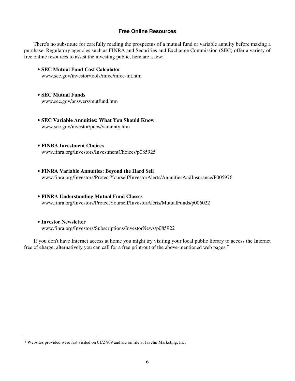#### **Free Online Resources**

 There's no substitute for carefully reading the prospectus of a mutual fund or variable annuity before making a purchase. Regulatory agencies such as FINRA and Securities and Exchange Commission (SEC) offer a variety of free online resources to assist the investing public, here are a few:

- **SEC Mutual Fund Cost Calculator** www.sec.gov/investor/tools/mfcc/mfcc-int.htm
- **SEC Mutual Funds** www.sec.gov/answers/mutfund.htm
- **SEC Variable Annuities: What You Should Know** www.sec.gov/investor/pubs/varannty.htm
- **FINRA Investment Choices** www.finra.org/Investors/InvestmentChoices/p085925
- **FINRA Variable Annuities: Beyond the Hard Sell** www.finra.org/Investors/ProtectYourself/InvestorAlerts/AnnuitiesAndInsurance/P005976
- **FINRA Understanding Mutual Fund Classes** www.finra.org/Investors/ProtectYourself/InvestorAlerts/MutualFunds/p006022
- **Investor Newsletter** www.finra.org/Investors/Subscriptions/InvestorNews/p085922

 If you don't have Internet access at home you might try visiting your local public library to access the Internet free of charge, alternatively you can call for a free print-out of the above-mentioned web pages.7

<sup>7</sup> Websites provided were last visited on 01/27/09 and are on file at Javelin Marketing, Inc.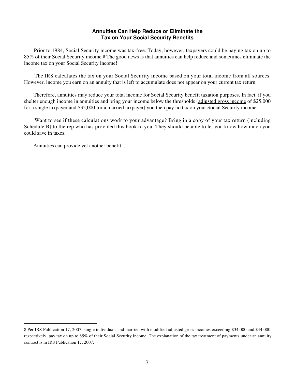## **Annuities Can Help Reduce or Eliminate the Tax on Your Social Security Benefits**

 Prior to 1984, Social Security income was tax-free. Today, however, taxpayers could be paying tax on up to 85% of their Social Security income.8 The good news is that annuities can help reduce and sometimes eliminate the income tax on your Social Security income!

 The IRS calculates the tax on your Social Security income based on your total income from all sources. However, income you earn on an annuity that is left to accumulate does not appear on your current tax return.

 Therefore, annuities may reduce your total income for Social Security benefit taxation purposes. In fact, if you shelter enough income in annuities and bring your income below the thresholds (adjusted gross income of \$25,000 for a single taxpayer and \$32,000 for a married taxpayer) you then pay no tax on your Social Security income.

Want to see if these calculations work to your advantage? Bring in a copy of your tax return (including Schedule B) to the rep who has provided this book to you. They should be able to let you know how much you could save in taxes.

Annuities can provide yet another benefit....

<sup>8</sup> Per IRS Publication 17, 2007, single individuals and married with modified adjusted gross incomes exceeding \$34,000 and \$44,000, respectively, pay tax on up to 85% of their Social Security income. The explanation of the tax treatment of payments under an annuity contract is in IRS Publication 17, 2007.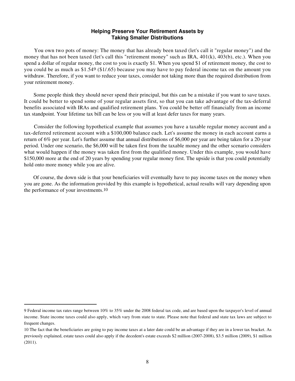### **Helping Preserve Your Retirement Assets by Taking Smaller Distributions**

 You own two pots of money: The money that has already been taxed (let's call it "regular money") and the money that has not been taxed (let's call this "retirement money" such as IRA, 401(k), 403(b), etc.). When you spend a dollar of regular money, the cost to you is exactly \$1. When you spend \$1 of retirement money, the cost to you could be as much as \$1.549 (\$1/.65) because you may have to pay federal income tax on the amount you withdraw. Therefore, if you want to reduce your taxes, consider not taking more than the required distribution from your retirement money.

 Some people think they should never spend their principal, but this can be a mistake if you want to save taxes. It could be better to spend some of your regular assets first, so that you can take advantage of the tax-deferral benefits associated with IRAs and qualified retirement plans. You could be better off financially from an income tax standpoint. Your lifetime tax bill can be less or you will at least defer taxes for many years.

 Consider the following hypothetical example that assumes you have a taxable regular money account and a tax-deferred retirement account with a \$100,000 balance each. Let's assume the money in each account earns a return of 6% per year. Let's further assume that annual distributions of \$6,000 per year are being taken for a 20-year period. Under one scenario, the \$6,000 will be taken first from the taxable money and the other scenario considers what would happen if the money was taken first from the qualified money. Under this example, you would have \$150,000 more at the end of 20 years by spending your regular money first. The upside is that you could potentially hold onto more money while you are alive.

 Of course, the down side is that your beneficiaries will eventually have to pay income taxes on the money when you are gone. As the information provided by this example is hypothetical, actual results will vary depending upon the performance of your investments.10

<sup>9</sup> Federal income tax rates range between 10% to 35% under the 2008 federal tax code, and are based upon the taxpayer's level of annual income. State income taxes could also apply, which vary from state to state. Please note that federal and state tax laws are subject to frequent changes.

<sup>10</sup> The fact that the beneficiaries are going to pay income taxes at a later date could be an advantage if they are in a lower tax bracket. As previously explained, estate taxes could also apply if the decedent's estate exceeds \$2 million (2007-2008), \$3.5 million (2009), \$1 million (2011).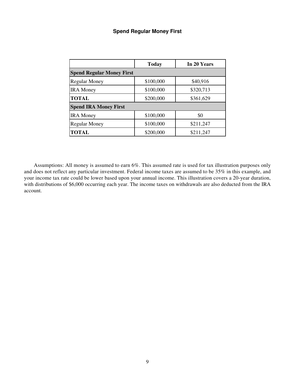## **Spend Regular Money First**

|                                  | <b>Today</b> | In 20 Years |  |
|----------------------------------|--------------|-------------|--|
| <b>Spend Regular Money First</b> |              |             |  |
| <b>Regular Money</b>             | \$100,000    | \$40,916    |  |
| <b>IRA</b> Money                 | \$100,000    | \$320,713   |  |
| <b>TOTAL</b>                     | \$200,000    | \$361,629   |  |
| <b>Spend IRA Money First</b>     |              |             |  |
| <b>IRA</b> Money                 | \$100,000    | \$0         |  |
| <b>Regular Money</b>             | \$100,000    | \$211,247   |  |
| <b>TOTAL</b>                     | \$200,000    | \$211,247   |  |

 Assumptions: All money is assumed to earn 6%. This assumed rate is used for tax illustration purposes only and does not reflect any particular investment. Federal income taxes are assumed to be 35% in this example, and your income tax rate could be lower based upon your annual income. This illustration covers a 20-year duration, with distributions of \$6,000 occurring each year. The income taxes on withdrawals are also deducted from the IRA account.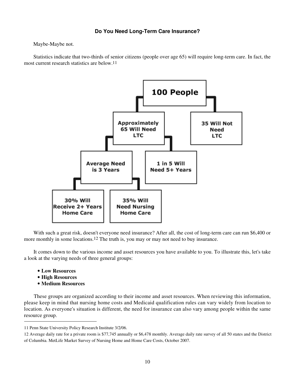## **Do You Need Long-Term Care Insurance?**

Maybe-Maybe not.

 Statistics indicate that two-thirds of senior citizens (people over age 65) will require long-term care. In fact, the most current research statistics are below.11



 With such a great risk, doesn't everyone need insurance? After all, the cost of long-term care can run \$6,400 or more monthly in some locations.<sup>12</sup> The truth is, you may or may not need to buy insurance.

 It comes down to the various income and asset resources you have available to you. To illustrate this, let's take a look at the varying needs of three general groups:

- **Low Resources**
- **High Resources**
- **Medium Resources**

 These groups are organized according to their income and asset resources. When reviewing this information, please keep in mind that nursing home costs and Medicaid qualification rules can vary widely from location to location. As everyone's situation is different, the need for insurance can also vary among people within the same resource group.

<sup>11</sup> Penn State University Policy Research Institute 3/2/06.

<sup>12</sup> Average daily rate for a private room is \$77,745 annually or \$6,478 monthly. Average daily rate survey of all 50 states and the District of Columbia. MetLife Market Survey of Nursing Home and Home Care Costs, October 2007.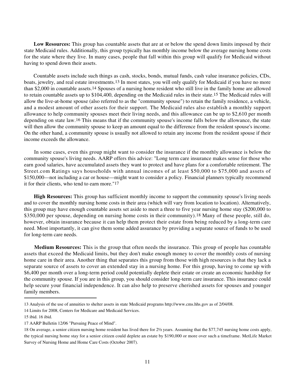**Low Resources:** This group has countable assets that are at or below the spend down limits imposed by their state Medicaid rules. Additionally, this group typically has monthly income below the average nursing home costs for the state where they live. In many cases, people that fall within this group will qualify for Medicaid without having to spend down their assets.

 Countable assets include such things as cash, stocks, bonds, mutual funds, cash value insurance policies, CDs, boats, jewelry, and real estate investments.13 In most states, you will only qualify for Medicaid if you have no more than \$2,000 in countable assets.14 Spouses of a nursing home resident who still live in the family home are allowed to retain countable assets up to \$104,400, depending on the Medicaid rules in their state.15 The Medicaid rules will allow the live-at-home spouse (also referred to as the "community spouse") to retain the family residence, a vehicle, and a modest amount of other assets for their support. The Medicaid rules also establish a monthly support allowance to help community spouses meet their living needs, and this allowance can be up to \$2,610 per month depending on state law.16 This means that if the community spouse's income falls below the allowance, the state will then allow the community spouse to keep an amount equal to the difference from the resident spouse's income. On the other hand, a community spouse is usually not allowed to retain any income from the resident spouse if their income exceeds the allowance.

 In some cases, even this group might want to consider the insurance if the monthly allowance is below the community spouse's living needs. AARP offers this advice: "Long term care insurance makes sense for those who earn good salaries, have accumulated assets they want to protect and have plans for a comfortable retirement. The Street.com Ratings says households with annual incomes of at least \$50,000 to \$75,000 and assets of \$150,000—not including a car or house—might want to consider a policy. Financial planners typically recommend it for their clients, who tend to earn more."17

**High Resources:** This group has sufficient monthly income to support the community spouse's living needs and to cover the monthly nursing home costs in their area (which will vary from location to location). Alternatively, this group may have enough countable assets set aside to meet a three to five year nursing home stay (\$200,000 to \$350,000 per spouse, depending on nursing home costs in their community).18 Many of these people, still do, however, obtain insurance because it can help them protect their estate from being reduced by a long-term care need. Most importantly, it can give them some added assurance by providing a separate source of funds to be used for long-term care needs.

**Medium Resources:** This is the group that often needs the insurance. This group of people has countable assets that exceed the Medicaid limits, but they don't make enough money to cover the monthly costs of nursing home care in their area. Another thing that separates this group from those with high resources is that they lack a separate source of assets to cover an extended stay in a nursing home. For this group, having to come up with \$6,400 per month over a long-term period could potentially deplete their estate or create an economic hardship for the community spouse. If you are in this group, you should consider long-term care insurance. This insurance could help secure your financial independence. It can also help to preserve cherished assets for spouses and younger family members.

<sup>13</sup> Analysis of the use of annuities to shelter assets in state Medicaid programs http://www.cms.hhs.gov as of 2/04/08.

<sup>14</sup> Limits for 2008, Centers for Medicare and Medicaid Services.

<sup>15</sup> ibid. 16 ibid.

<sup>17</sup> AARP Bulletin 12/06 "Pursuing Peace of Mind".

<sup>18</sup> On average, a senior citizen nursing home resident has lived there for 2½ years. Assuming that the \$77,745 nursing home costs apply, the typical nursing home stay for a senior citizen could deplete an estate by \$190,000 or more over such a timeframe. MetLife Market Survey of Nursing Home and Home Care Costs (October 2007).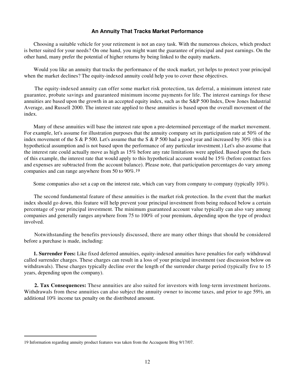### **An Annuity That Tracks Market Performance**

 Choosing a suitable vehicle for your retirement is not an easy task. With the numerous choices, which product is better suited for your needs? On one hand, you might want the guarantee of principal and past earnings. On the other hand, many prefer the potential of higher returns by being linked to the equity markets.

 Would you like an annuity that tracks the performance of the stock market, yet helps to protect your principal when the market declines? The equity-indexed annuity could help you to cover these objectives.

 The equity-indexed annuity can offer some market risk protection, tax deferral, a minimum interest rate guarantee, probate savings and guaranteed minimum income payments for life. The interest earnings for these annuities are based upon the growth in an accepted equity index, such as the S&P 500 Index, Dow Jones Industrial Average, and Russell 2000. The interest rate applied to these annuities is based upon the overall movement of the index.

 Many of these annuities will base the interest rate upon a pre-determined percentage of the market movement. For example, let's assume for illustration purposes that the annuity company set its participation rate at 50% of the index movement of the S & P 500. Let's assume that the S & P 500 had a good year and increased by 30% (this is a hypothetical assumption and is not based upon the performance of any particular investment.) Let's also assume that the interest rate could actually move as high as 15% before any rate limitations were applied. Based upon the facts of this example, the interest rate that would apply to this hypothetical account would be 15% (before contract fees and expenses are subtracted from the account balance). Please note, that participation percentages do vary among companies and can range anywhere from 50 to 90%.19

Some companies also set a cap on the interest rate, which can vary from company to company (typically 10%).

 The second fundamental feature of these annuities is the market risk protection. In the event that the market index should go down, this feature will help prevent your principal investment from being reduced below a certain percentage of your principal investment. The minimum guaranteed account value typically can also vary among companies and generally ranges anywhere from 75 to 100% of your premium, depending upon the type of product involved.

 Notwithstanding the benefits previously discussed, there are many other things that should be considered before a purchase is made, including:

**1. Surrender Fees:** Like fixed deferred annuities, equity-indexed annuities have penalties for early withdrawal called surrender charges. These charges can result in a loss of your principal investment (see discussion below on withdrawals). These charges typically decline over the length of the surrender charge period (typically five to 15 years, depending upon the company).

**2. Tax Consequences:** These annuities are also suited for investors with long-term investment horizons. Withdrawals from these annuities can also subject the annuity owner to income taxes, and prior to age 59½, an additional 10% income tax penalty on the distributed amount.

<sup>19</sup> Information regarding annuity product features was taken from the Accuquote Blog 9/17/07.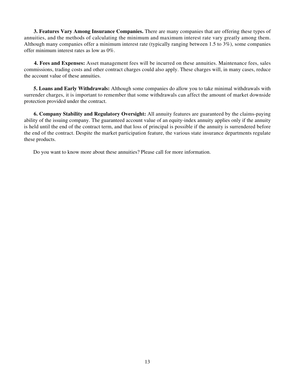**3. Features Vary Among Insurance Companies.** There are many companies that are offering these types of annuities, and the methods of calculating the minimum and maximum interest rate vary greatly among them. Although many companies offer a minimum interest rate (typically ranging between 1.5 to 3%), some companies offer minimum interest rates as low as 0%.

**4. Fees and Expenses:** Asset management fees will be incurred on these annuities. Maintenance fees, sales commissions, trading costs and other contract charges could also apply. These charges will, in many cases, reduce the account value of these annuities.

**5. Loans and Early Withdrawals:** Although some companies do allow you to take minimal withdrawals with surrender charges, it is important to remember that some withdrawals can affect the amount of market downside protection provided under the contract.

**6. Company Stability and Regulatory Oversight:** All annuity features are guaranteed by the claims-paying ability of the issuing company. The guaranteed account value of an equity-index annuity applies only if the annuity is held until the end of the contract term, and that loss of principal is possible if the annuity is surrendered before the end of the contract. Despite the market participation feature, the various state insurance departments regulate these products.

Do you want to know more about these annuities? Please call for more information.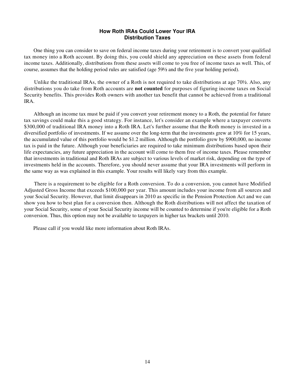## **How Roth IRAs Could Lower Your IRA Distribution Taxes**

 One thing you can consider to save on federal income taxes during your retirement is to convert your qualified tax money into a Roth account. By doing this, you could shield any appreciation on these assets from federal income taxes. Additionally, distributions from these assets will come to you free of income taxes as well. This, of course, assumes that the holding period rules are satisfied (age 59½ and the five year holding period).

 Unlike the traditional IRAs, the owner of a Roth is not required to take distributions at age 70½. Also, any distributions you do take from Roth accounts are **not counted** for purposes of figuring income taxes on Social Security benefits. This provides Roth owners with another tax benefit that cannot be achieved from a traditional IRA.

 Although an income tax must be paid if you convert your retirement money to a Roth, the potential for future tax savings could make this a good strategy. For instance, let's consider an example where a taxpayer converts \$300,000 of traditional IRA money into a Roth IRA. Let's further assume that the Roth money is invested in a diversified portfolio of investments. If we assume over the long-term that the investments grew at 10% for 15 years, the accumulated value of this portfolio would be \$1.2 million. Although the portfolio grew by \$900,000, no income tax is paid in the future. Although your beneficiaries are required to take minimum distributions based upon their life expectancies, any future appreciation in the account will come to them free of income taxes. Please remember that investments in traditional and Roth IRAs are subject to various levels of market risk, depending on the type of investments held in the accounts. Therefore, you should never assume that your IRA investments will perform in the same way as was explained in this example. Your results will likely vary from this example.

 There is a requirement to be eligible for a Roth conversion. To do a conversion, you cannot have Modified Adjusted Gross Income that exceeds \$100,000 per year. This amount includes your income from all sources and your Social Security. However, that limit disappears in 2010 as specific in the Pension Protection Act and we can show you how to best plan for a conversion then. Although the Roth distributions will not affect the taxation of your Social Security, some of your Social Security income will be counted to determine if you're eligible for a Roth conversion. Thus, this option may not be available to taxpayers in higher tax brackets until 2010.

Please call if you would like more information about Roth IRAs.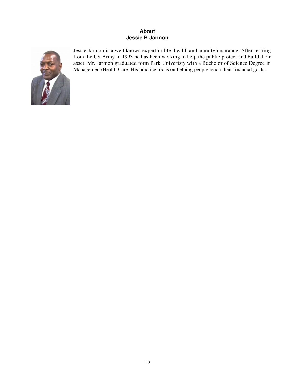## **About Jessie B Jarmon**



Jessie Jarmon is a well known expert in life, health and annuity insurance. After retiring from the US Army in 1993 he has been working to help the public protect and build their asset. Mr. Jarmon graduated form Park Univeristy with a Bachelor of Science Degree in Management/Health Care. His practice focus on helping people reach their financial goals.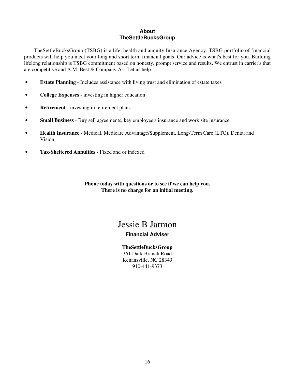## **About TheSettleBucksGroup**

 TheSettleBucksGroup (TSBG) is a life, health and annuity Insurance Agency. TSBG portfolio of financial products will help you meet your long and short term financial goals. Our advice is what's best for you. Building lifelong relationship is TSBG commitment based on honesty, prompt service and results. We entrust in carrier's that are competitive and A.M. Best & Company A+. Let us help.

- **Estate Planning** Includes assistance with living trust and elimination of estate taxes
- **College Expenses** investing in higher education
- **Retirement** investing in retirement plans
- **Small Business** Buy sell agreements, key employee's insurance and work site insurance
- **Health Insurance** Medical, Medicare Advantage/Supplement, Long-Term Care (LTC), Dental and Vision
- **Tax-Sheltered Annuities** Fixed and or indexed

**Phone today with questions or to see if we can help you. There is no charge for an initial meeting.**

## Jessie B Jarmon

## **Financial Adviser**

**TheSettleBucksGroup** 361 Dark Branch Road Kenansville, NC 28349 910-441-9373